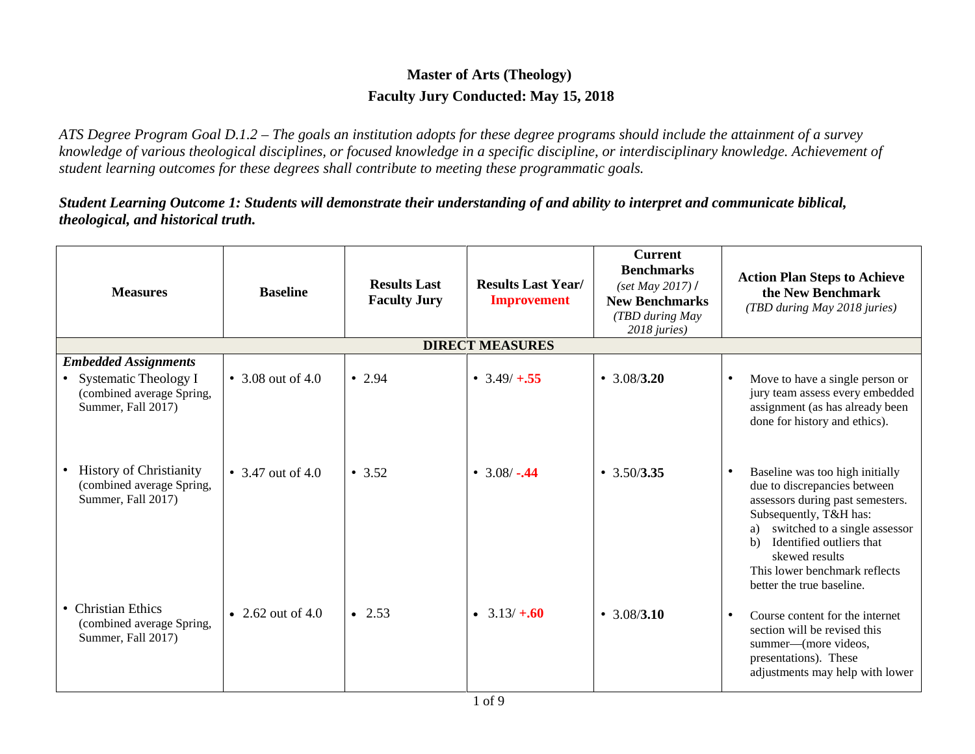## **Master of Arts (Theology) Faculty Jury Conducted: May 15, 2018**

*ATS Degree Program Goal D.1.2 – The goals an institution adopts for these degree programs should include the attainment of a survey knowledge of various theological disciplines, or focused knowledge in a specific discipline, or interdisciplinary knowledge. Achievement of student learning outcomes for these degrees shall contribute to meeting these programmatic goals.*

*Student Learning Outcome 1: Students will demonstrate their understanding of and ability to interpret and communicate biblical, theological, and historical truth.*

| <b>Measures</b>                                                                                           | <b>Baseline</b>   | <b>Results Last</b><br><b>Faculty Jury</b> | <b>Results Last Year/</b><br><b>Improvement</b> | <b>Current</b><br><b>Benchmarks</b><br>$\left( \text{set May } 2017 \right)$ /<br><b>New Benchmarks</b><br>(TBD during May<br>2018 juries) | <b>Action Plan Steps to Achieve</b><br>the New Benchmark<br>(TBD during May 2018 juries)                                                                                                                                                                                                                      |
|-----------------------------------------------------------------------------------------------------------|-------------------|--------------------------------------------|-------------------------------------------------|--------------------------------------------------------------------------------------------------------------------------------------------|---------------------------------------------------------------------------------------------------------------------------------------------------------------------------------------------------------------------------------------------------------------------------------------------------------------|
|                                                                                                           |                   |                                            | <b>DIRECT MEASURES</b>                          |                                                                                                                                            |                                                                                                                                                                                                                                                                                                               |
| <b>Embedded Assignments</b><br>• Systematic Theology I<br>(combined average Spring,<br>Summer, Fall 2017) | • 3.08 out of 4.0 | • 2.94                                     | • $3.49/ + 0.55$                                | • $3.08/3.20$                                                                                                                              | Move to have a single person or<br>٠<br>jury team assess every embedded<br>assignment (as has already been<br>done for history and ethics).                                                                                                                                                                   |
| <b>History of Christianity</b><br>$\bullet$<br>(combined average Spring,<br>Summer, Fall 2017)            | • 3.47 out of 4.0 | • 3.52                                     | • $3.08/-0.44$                                  | • $3.50/3.35$                                                                                                                              | Baseline was too high initially<br>$\bullet$<br>due to discrepancies between<br>assessors during past semesters.<br>Subsequently, T&H has:<br>switched to a single assessor<br>a)<br>Identified outliers that<br>$\mathbf{b}$<br>skewed results<br>This lower benchmark reflects<br>better the true baseline. |
| • Christian Ethics<br>(combined average Spring,<br>Summer, Fall 2017)                                     | • 2.62 out of 4.0 | $\bullet$ 2.53                             | $\bullet$ 3.13/ $\pm$ .60                       | $\cdot$ 3.08/3.10                                                                                                                          | Course content for the internet<br>$\bullet$<br>section will be revised this<br>summer—(more videos,<br>presentations). These<br>adjustments may help with lower                                                                                                                                              |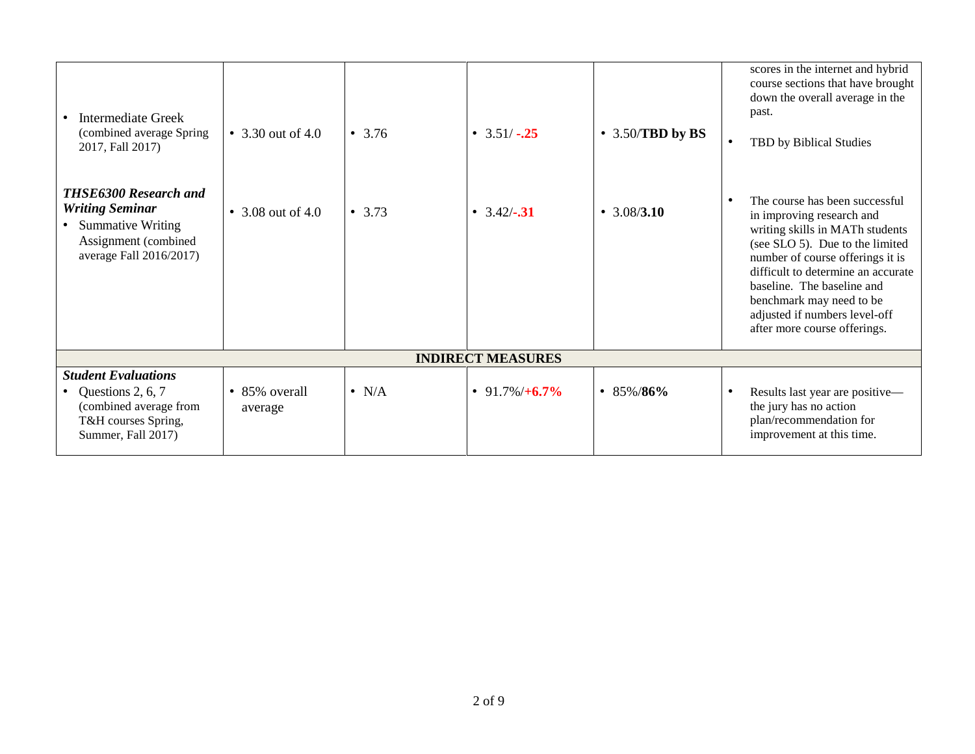| <b>Intermediate Greek</b><br>(combined average Spring<br>2017, Fall 2017)                                                         | • 3.30 out of 4.0        | $\bullet$ 3.76 | • $3.51/-25$             | $\bullet$ 3.50/TBD by BS | scores in the internet and hybrid<br>course sections that have brought<br>down the overall average in the<br>past.<br>TBD by Biblical Studies<br>$\bullet$                                                                                                                                                                             |
|-----------------------------------------------------------------------------------------------------------------------------------|--------------------------|----------------|--------------------------|--------------------------|----------------------------------------------------------------------------------------------------------------------------------------------------------------------------------------------------------------------------------------------------------------------------------------------------------------------------------------|
| <b>THSE6300 Research and</b><br><b>Writing Seminar</b><br>• Summative Writing<br>Assignment (combined)<br>average Fall 2016/2017) | • 3.08 out of 4.0        | • 3.73         | • $3.42/-$ .31           | • $3.08/3.10$            | The course has been successful<br>in improving research and<br>writing skills in MATh students<br>(see SLO 5). Due to the limited<br>number of course offerings it is<br>difficult to determine an accurate<br>baseline. The baseline and<br>benchmark may need to be<br>adjusted if numbers level-off<br>after more course offerings. |
|                                                                                                                                   |                          |                | <b>INDIRECT MEASURES</b> |                          |                                                                                                                                                                                                                                                                                                                                        |
| <b>Student Evaluations</b>                                                                                                        |                          |                |                          |                          |                                                                                                                                                                                                                                                                                                                                        |
| Questions 2, 6, 7<br>(combined average from<br>T&H courses Spring,<br>Summer, Fall 2017)                                          | • 85% overall<br>average | $\bullet$ N/A  | • 91.7%/ $+6.7\%$        | • 85%/86%                | Results last year are positive—<br>the jury has no action<br>plan/recommendation for<br>improvement at this time.                                                                                                                                                                                                                      |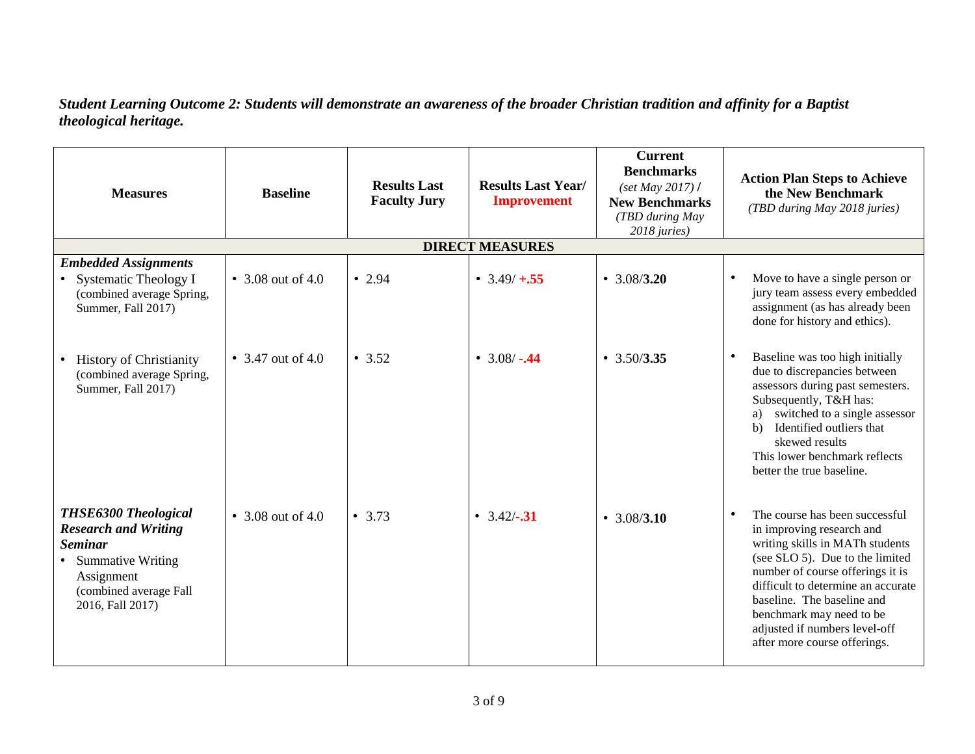## *Student Learning Outcome 2: Students will demonstrate an awareness of the broader Christian tradition and affinity for a Baptist theological heritage.*

| <b>Measures</b>                                                                                                                                                 | <b>Baseline</b>     | <b>Results Last</b><br><b>Faculty Jury</b> | <b>Results Last Year/</b><br><b>Improvement</b> | <b>Current</b><br><b>Benchmarks</b><br>$(set$ May 2017) /<br><b>New Benchmarks</b><br>(TBD during May<br>2018 juries) | <b>Action Plan Steps to Achieve</b><br>the New Benchmark<br>(TBD during May 2018 juries)                                                                                                                                                                                                                                                            |
|-----------------------------------------------------------------------------------------------------------------------------------------------------------------|---------------------|--------------------------------------------|-------------------------------------------------|-----------------------------------------------------------------------------------------------------------------------|-----------------------------------------------------------------------------------------------------------------------------------------------------------------------------------------------------------------------------------------------------------------------------------------------------------------------------------------------------|
|                                                                                                                                                                 |                     |                                            | <b>DIRECT MEASURES</b>                          |                                                                                                                       |                                                                                                                                                                                                                                                                                                                                                     |
| <b>Embedded Assignments</b><br>• Systematic Theology I<br>(combined average Spring,<br>Summer, Fall 2017)                                                       | • 3.08 out of 4.0   | • 2.94                                     | • $3.49/ + 0.55$                                | • $3.08/3.20$                                                                                                         | Move to have a single person or<br>$\bullet$<br>jury team assess every embedded<br>assignment (as has already been<br>done for history and ethics).                                                                                                                                                                                                 |
| <b>History of Christianity</b><br>(combined average Spring,<br>Summer, Fall 2017)                                                                               | • $3.47$ out of 4.0 | • 3.52                                     | • $3.08/-0.44$                                  | $\cdot$ 3.50/3.35                                                                                                     | Baseline was too high initially<br>$\bullet$<br>due to discrepancies between<br>assessors during past semesters.<br>Subsequently, T&H has:<br>switched to a single assessor<br>Identified outliers that<br>$\mathbf{b}$<br>skewed results<br>This lower benchmark reflects<br>better the true baseline.                                             |
| <b>THSE6300 Theological</b><br><b>Research and Writing</b><br><b>Seminar</b><br>• Summative Writing<br>Assignment<br>(combined average Fall<br>2016, Fall 2017) | • 3.08 out of 4.0   | • 3.73                                     | • $3.42/-$ .31                                  | $\cdot$ 3.08/3.10                                                                                                     | The course has been successful<br>$\bullet$<br>in improving research and<br>writing skills in MATh students<br>(see SLO 5). Due to the limited<br>number of course offerings it is<br>difficult to determine an accurate<br>baseline. The baseline and<br>benchmark may need to be<br>adjusted if numbers level-off<br>after more course offerings. |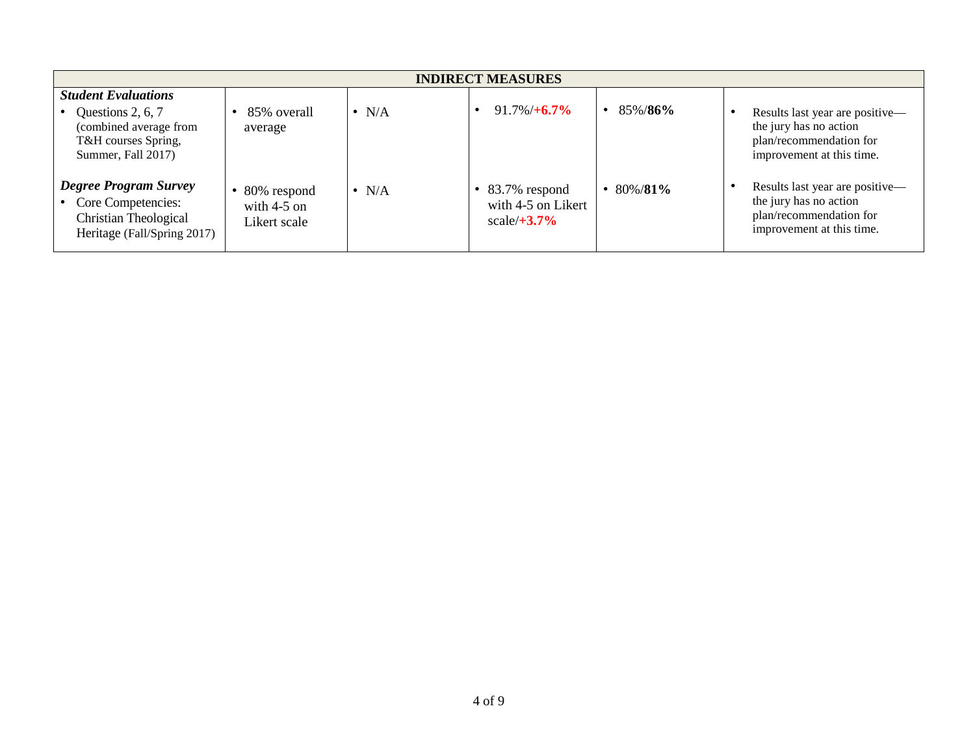| <b>INDIRECT MEASURES</b>                                                                                               |                                              |                  |                                                                   |         |                                                                                                                   |  |
|------------------------------------------------------------------------------------------------------------------------|----------------------------------------------|------------------|-------------------------------------------------------------------|---------|-------------------------------------------------------------------------------------------------------------------|--|
| <b>Student Evaluations</b><br>Questions 2, 6, 7<br>(combined average from<br>T&H courses Spring,<br>Summer, Fall 2017) | 85% overall<br>average                       | N/A<br>$\bullet$ | $91.7\%/+6.7\%$                                                   | 85%/86% | Results last year are positive—<br>the jury has no action<br>plan/recommendation for<br>improvement at this time. |  |
| <b>Degree Program Survey</b><br>• Core Competencies:<br>Christian Theological<br>Heritage (Fall/Spring 2017)           | 80% respond<br>with $4-5$ on<br>Likert scale | N/A<br>$\bullet$ | $\bullet$ 83.7% respond<br>with 4-5 on Likert<br>scale $/ +3.7\%$ | 80%/81% | Results last year are positive-<br>the jury has no action<br>plan/recommendation for<br>improvement at this time. |  |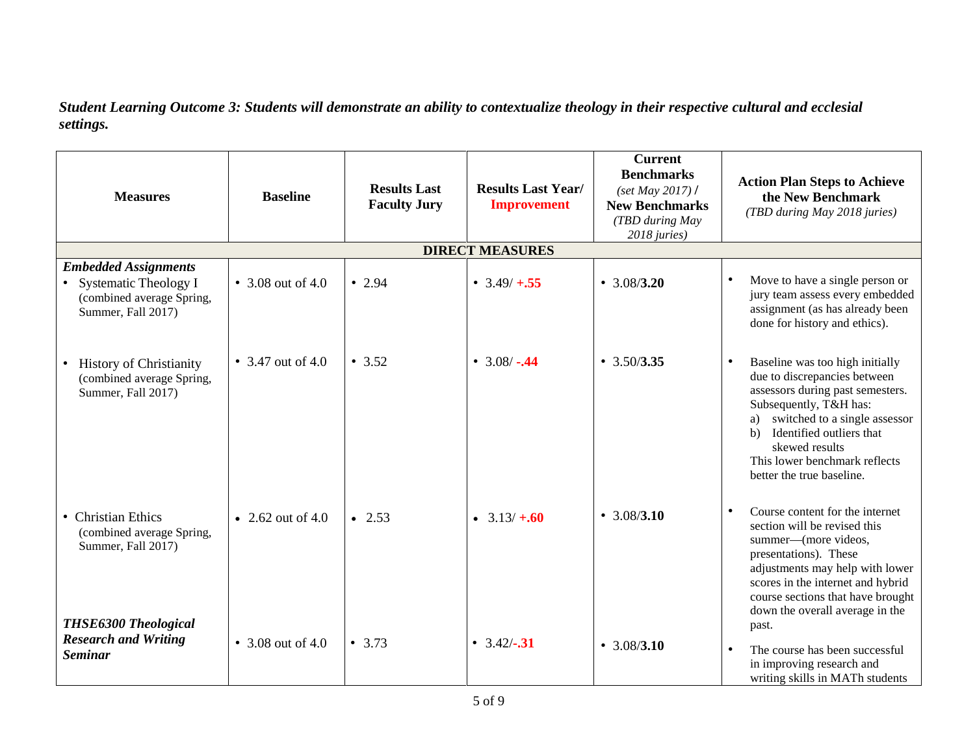*Student Learning Outcome 3: Students will demonstrate an ability to contextualize theology in their respective cultural and ecclesial settings.*

| <b>Measures</b>                                                                                           | <b>Baseline</b>     | <b>Results Last</b><br><b>Faculty Jury</b> | <b>Results Last Year/</b><br><b>Improvement</b> | <b>Current</b><br><b>Benchmarks</b><br>$(set$ <i>May</i> 2017) /<br><b>New Benchmarks</b><br>(TBD during May<br>2018 juries) | <b>Action Plan Steps to Achieve</b><br>the New Benchmark<br>(TBD during May 2018 juries)                                                                                                                                                                                                            |
|-----------------------------------------------------------------------------------------------------------|---------------------|--------------------------------------------|-------------------------------------------------|------------------------------------------------------------------------------------------------------------------------------|-----------------------------------------------------------------------------------------------------------------------------------------------------------------------------------------------------------------------------------------------------------------------------------------------------|
|                                                                                                           |                     |                                            | <b>DIRECT MEASURES</b>                          |                                                                                                                              |                                                                                                                                                                                                                                                                                                     |
| <b>Embedded Assignments</b><br>• Systematic Theology I<br>(combined average Spring,<br>Summer, Fall 2017) | • 3.08 out of 4.0   | $\bullet$ 2.94                             | • $3.49/ + 0.55$                                | • $3.08/3.20$                                                                                                                | Move to have a single person or<br>$\bullet$<br>jury team assess every embedded<br>assignment (as has already been<br>done for history and ethics).                                                                                                                                                 |
| <b>History of Christianity</b><br>(combined average Spring,<br>Summer, Fall 2017)                         | • 3.47 out of 4.0   | • 3.52                                     | • $3.08/-0.44$                                  | $\cdot$ 3.50/3.35                                                                                                            | $\bullet$<br>Baseline was too high initially<br>due to discrepancies between<br>assessors during past semesters.<br>Subsequently, T&H has:<br>switched to a single assessor<br>a)<br>Identified outliers that<br>h)<br>skewed results<br>This lower benchmark reflects<br>better the true baseline. |
| • Christian Ethics<br>(combined average Spring,<br>Summer, Fall 2017)<br><b>THSE6300 Theological</b>      | • 2.62 out of 4.0   | $\bullet$ 2.53                             | • $3.13/ + .60$                                 | • $3.08/3.10$                                                                                                                | Course content for the internet<br>$\bullet$<br>section will be revised this<br>summer—(more videos,<br>presentations). These<br>adjustments may help with lower<br>scores in the internet and hybrid<br>course sections that have brought<br>down the overall average in the<br>past.              |
| <b>Research and Writing</b><br><b>Seminar</b>                                                             | • $3.08$ out of 4.0 | • $3.73$                                   | • $3.42/-$ .31                                  | $\cdot$ 3.08/3.10                                                                                                            | The course has been successful<br>$\bullet$<br>in improving research and<br>writing skills in MATh students                                                                                                                                                                                         |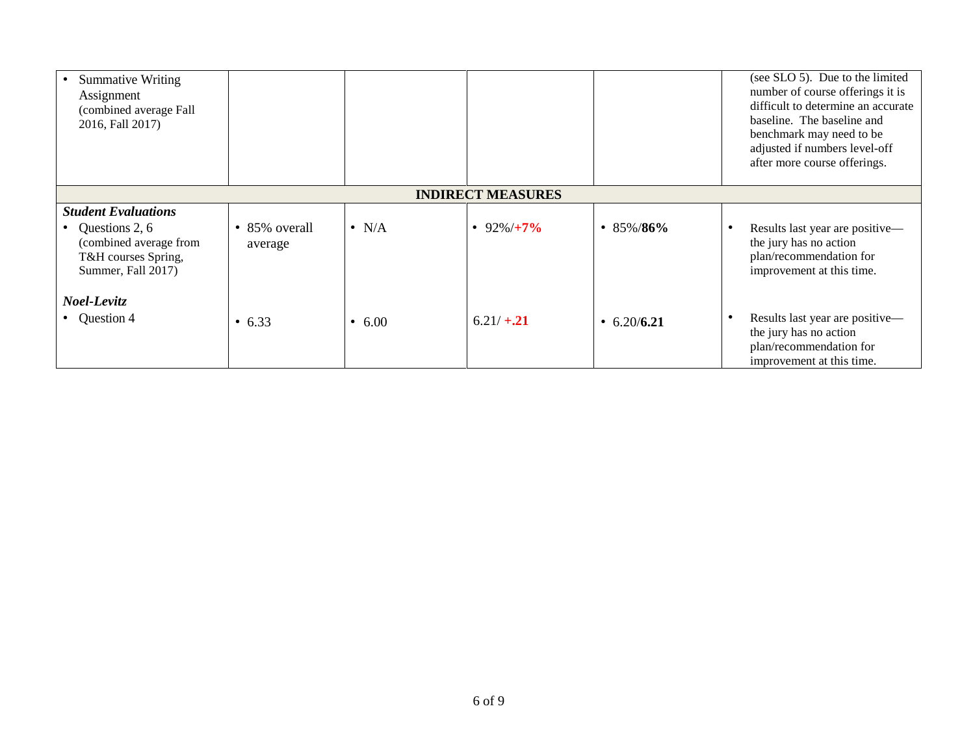| <b>Summative Writing</b><br>Assignment<br>(combined average Fall<br>2016, Fall 2017)  |                                  |               |                          |                 | (see SLO 5). Due to the limited<br>number of course offerings it is<br>difficult to determine an accurate<br>baseline. The baseline and<br>benchmark may need to be<br>adjusted if numbers level-off<br>after more course offerings. |
|---------------------------------------------------------------------------------------|----------------------------------|---------------|--------------------------|-----------------|--------------------------------------------------------------------------------------------------------------------------------------------------------------------------------------------------------------------------------------|
|                                                                                       |                                  |               |                          |                 |                                                                                                                                                                                                                                      |
|                                                                                       |                                  |               | <b>INDIRECT MEASURES</b> |                 |                                                                                                                                                                                                                                      |
| <b>Student Evaluations</b>                                                            |                                  |               |                          |                 |                                                                                                                                                                                                                                      |
| Questions 2, 6<br>(combined average from<br>T&H courses Spring,<br>Summer, Fall 2017) | $\bullet$ 85% overall<br>average | $\bullet$ N/A | • 92%/ $+7\%$            | $\cdot$ 85%/86% | Results last year are positive-<br>the jury has no action<br>plan/recommendation for<br>improvement at this time.                                                                                                                    |
| Noel-Levitz                                                                           |                                  |               |                          |                 |                                                                                                                                                                                                                                      |
| • Question 4                                                                          | • $6.33$                         | • $6.00$      | $6.21/+.21$              | • $6.20/6.21$   | Results last year are positive-<br>the jury has no action<br>plan/recommendation for<br>improvement at this time.                                                                                                                    |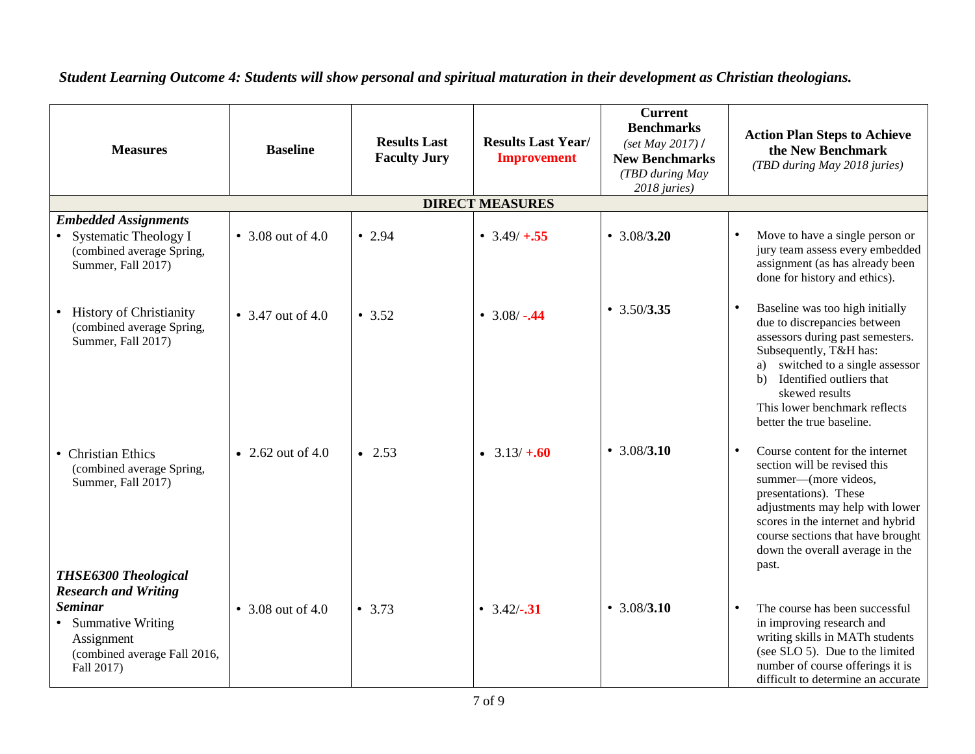| <b>Measures</b>                                                                                                                  | <b>Baseline</b>   | <b>Results Last</b><br><b>Faculty Jury</b> | <b>Results Last Year/</b><br><b>Improvement</b> | <b>Current</b><br><b>Benchmarks</b><br>$(set$ May 2017) /<br><b>New Benchmarks</b><br>(TBD during May<br>2018 juries) | <b>Action Plan Steps to Achieve</b><br>the New Benchmark<br>(TBD during May 2018 juries)                                                                                                                                                                                                            |
|----------------------------------------------------------------------------------------------------------------------------------|-------------------|--------------------------------------------|-------------------------------------------------|-----------------------------------------------------------------------------------------------------------------------|-----------------------------------------------------------------------------------------------------------------------------------------------------------------------------------------------------------------------------------------------------------------------------------------------------|
|                                                                                                                                  |                   |                                            | <b>DIRECT MEASURES</b>                          |                                                                                                                       |                                                                                                                                                                                                                                                                                                     |
| <b>Embedded Assignments</b><br>• Systematic Theology I<br>(combined average Spring,<br>Summer, Fall 2017)                        | • 3.08 out of 4.0 | • 2.94                                     | • $3.49/ + 0.55$                                | • $3.08/3.20$                                                                                                         | Move to have a single person or<br>jury team assess every embedded<br>assignment (as has already been<br>done for history and ethics).                                                                                                                                                              |
| • History of Christianity<br>(combined average Spring,<br>Summer, Fall 2017)                                                     | • 3.47 out of 4.0 | • 3.52                                     | • $3.08/-0.44$                                  | $\cdot$ 3.50/3.35                                                                                                     | Baseline was too high initially<br>$\bullet$<br>due to discrepancies between<br>assessors during past semesters.<br>Subsequently, T&H has:<br>switched to a single assessor<br>a)<br>Identified outliers that<br>b)<br>skewed results<br>This lower benchmark reflects<br>better the true baseline. |
| • Christian Ethics<br>(combined average Spring,<br>Summer, Fall 2017)<br>THSE6300 Theological                                    | • 2.62 out of 4.0 | $\bullet$ 2.53                             | • $3.13/ + .60$                                 | • $3.08/3.10$                                                                                                         | Course content for the internet<br>$\bullet$<br>section will be revised this<br>summer-(more videos,<br>presentations). These<br>adjustments may help with lower<br>scores in the internet and hybrid<br>course sections that have brought<br>down the overall average in the<br>past.              |
| <b>Research and Writing</b><br><b>Seminar</b><br>• Summative Writing<br>Assignment<br>(combined average Fall 2016,<br>Fall 2017) | • 3.08 out of 4.0 | • 3.73                                     | • $3.42/-$ .31                                  | $\cdot$ 3.08/3.10                                                                                                     | The course has been successful<br>$\bullet$<br>in improving research and<br>writing skills in MATh students<br>(see SLO 5). Due to the limited<br>number of course offerings it is<br>difficult to determine an accurate                                                                            |

## *Student Learning Outcome 4: Students will show personal and spiritual maturation in their development as Christian theologians.*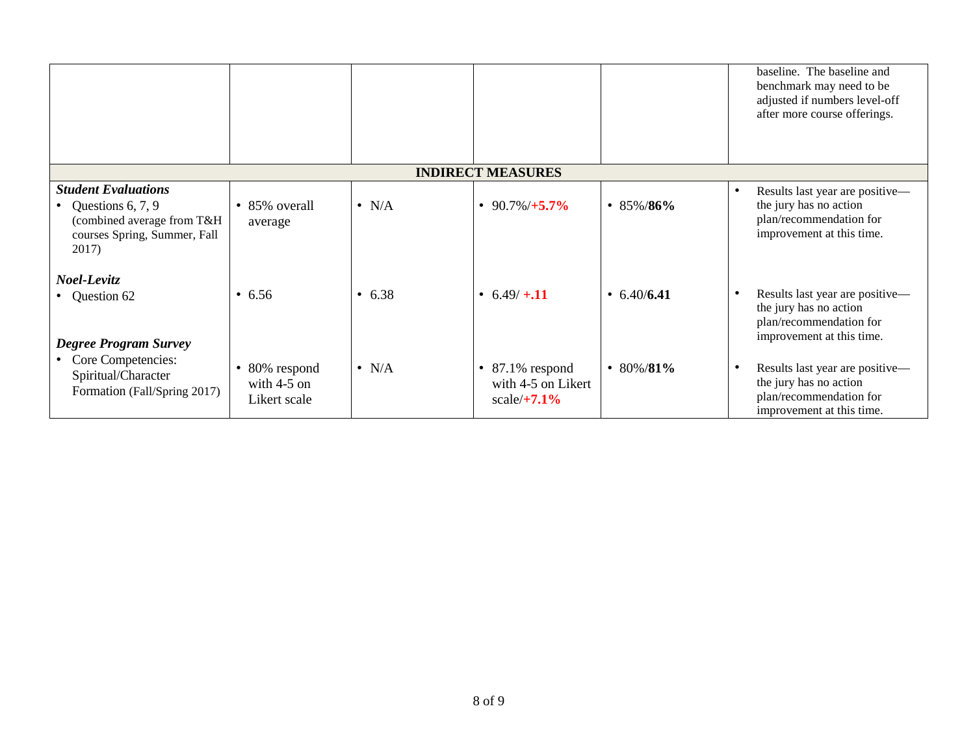|                                                                                                                          |                                              |               |                                                                       |                   | baseline. The baseline and<br>benchmark may need to be<br>adjusted if numbers level-off<br>after more course offerings.        |
|--------------------------------------------------------------------------------------------------------------------------|----------------------------------------------|---------------|-----------------------------------------------------------------------|-------------------|--------------------------------------------------------------------------------------------------------------------------------|
|                                                                                                                          |                                              |               | <b>INDIRECT MEASURES</b>                                              |                   |                                                                                                                                |
| <b>Student Evaluations</b><br>• Questions 6, 7, 9<br>(combined average from T&H<br>courses Spring, Summer, Fall<br>2017) | • 85% overall<br>average                     | $\bullet$ N/A | • 90.7%/ $+5.7\%$                                                     | $\cdot$ 85%/86%   | $\bullet$<br>Results last year are positive—<br>the jury has no action<br>plan/recommendation for<br>improvement at this time. |
| Noel-Levitz<br>• Question 62<br><b>Degree Program Survey</b>                                                             | • 6.56                                       | • 6.38        | • $6.49/ + 11$                                                        | $\cdot$ 6.40/6.41 | Results last year are positive-<br>$\bullet$<br>the jury has no action<br>plan/recommendation for<br>improvement at this time. |
| • Core Competencies:<br>Spiritual/Character<br>Formation (Fall/Spring 2017)                                              | 80% respond<br>with $4-5$ on<br>Likert scale | $\bullet$ N/A | $87.1\%$ respond<br>$\bullet$<br>with 4-5 on Likert<br>scale/ $+7.1%$ | • 80%/81%         | Results last year are positive-<br>$\bullet$<br>the jury has no action<br>plan/recommendation for<br>improvement at this time. |